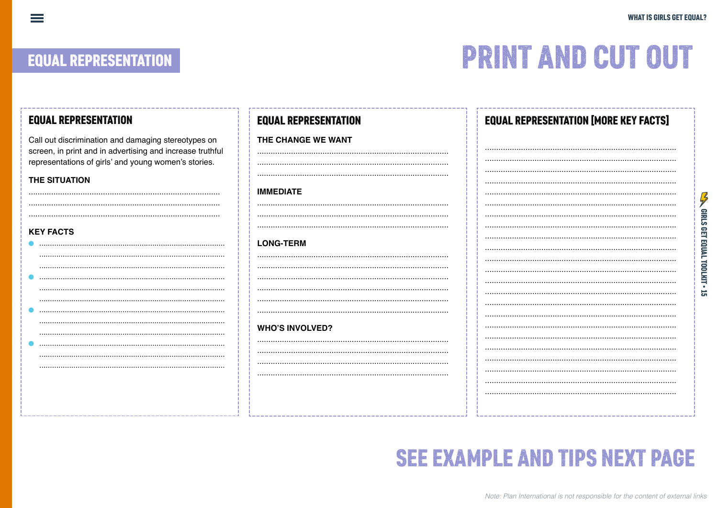**SEX CIRLS GET EQUAL TOOLKIT . 15** 

### **EQUAL REPRESENTATION**

 $\equiv$ 

## **PRINT AND CUT OUT**

| Call out discrimination and damaging stereotypes on<br>THE CHANGE WE WANT<br>screen, in print and in advertising and increase truthful<br>representations of girls' and young women's stories.<br>THE SITUATION<br><b>IMMEDIATE</b><br><b>KEY FACTS</b><br><b>LONG-TERM</b><br><b>WHO'S INVOLVED?</b> |
|-------------------------------------------------------------------------------------------------------------------------------------------------------------------------------------------------------------------------------------------------------------------------------------------------------|
|                                                                                                                                                                                                                                                                                                       |
|                                                                                                                                                                                                                                                                                                       |
|                                                                                                                                                                                                                                                                                                       |
|                                                                                                                                                                                                                                                                                                       |
|                                                                                                                                                                                                                                                                                                       |
|                                                                                                                                                                                                                                                                                                       |
|                                                                                                                                                                                                                                                                                                       |
|                                                                                                                                                                                                                                                                                                       |
|                                                                                                                                                                                                                                                                                                       |
|                                                                                                                                                                                                                                                                                                       |
|                                                                                                                                                                                                                                                                                                       |
|                                                                                                                                                                                                                                                                                                       |
|                                                                                                                                                                                                                                                                                                       |
|                                                                                                                                                                                                                                                                                                       |
|                                                                                                                                                                                                                                                                                                       |
|                                                                                                                                                                                                                                                                                                       |
|                                                                                                                                                                                                                                                                                                       |
|                                                                                                                                                                                                                                                                                                       |
|                                                                                                                                                                                                                                                                                                       |
|                                                                                                                                                                                                                                                                                                       |

## **SEE EXAMPLE AND TIPS NEXT PAGE**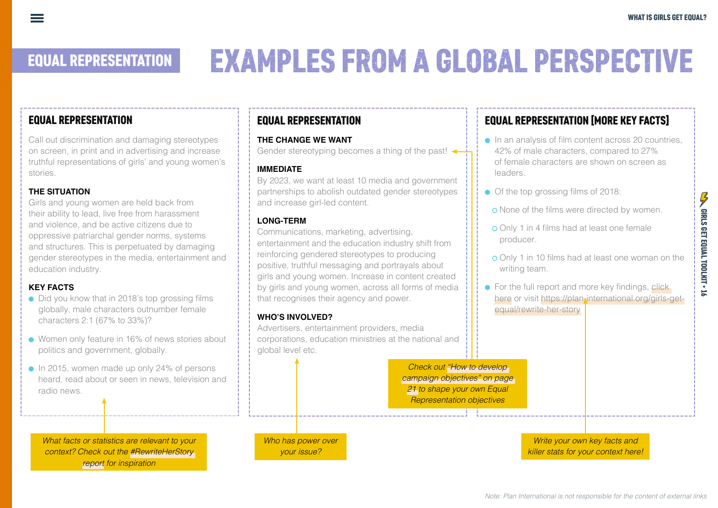# EQUAL REPRESENTATION EXAMPLES FROM A GLOBAL PERSPECTIVE

#### EQUAL REPRESENTATION

Call out discrimination and damaging stereotypes on screen, in print and in advertising and increase truthful representations of girls' and young women's stories.

#### **THE SITUATION**

Girls and young women are held back from their ability to lead, live free from harassment and violence, and be active citizens due to oppressive patriarchal gender norms, systems and structures. This is perpetuated by damaging gender stereotypes in the media, entertainment and education industry.

#### **KEY FACTS**

- Did you know that in 2018's top grossing films globally, male characters outnumber female characters 2:1 (67% to 33%)?
- Women only feature in 16% of news stories about politics and government, globally.
- In 2015, women made up only 24% of persons heard, read about or seen in news, television and radio news.

*What facts or statistics are relevant to your context? Check out the #[RewriteHerStory](https://plan-international.org/girls-get-equal/rewrite-her-story)  [report](https://plan-international.org/girls-get-equal/rewrite-her-story) for inspiration*

#### EQUAL REPRESENTATION

#### **THE CHANGE WE WANT**

Gender stereotyping becomes a thing of the past!

#### **IMMEDIATE**

By 2023, we want at least 10 media and government partnerships to abolish outdated gender stereotypes and increase girl-led content.

#### **LONG-TERM**

Communications, marketing, advertising, entertainment and the education industry shift from reinforcing gendered stereotypes to producing positive, truthful messaging and portrayals about girls and young women. Increase in content created by girls and young women, across all forms of media that recognises their agency and power.

#### **WHO'S INVOLVED?**

Advertisers, entertainment providers, media corporations, education ministries at the national and global level etc.

> *Check out "How to develop campaign objectives" on page 21 to shape your own Equal Representation objectives*

*Who has power over your issue?* 

### EQUAL REPRESENTATION [MORE KEY FACTS]

- In an analysis of film content across 20 countries, 42% of male characters, compared to 27% of female characters are shown on screen as leaders.
- Of the top grossing films of 2018:
- **o** None of the films were directed by women.
- **o** Only 1 in 4 films had at least one female producer.
- **o** Only 1 in 10 films had at least one woman on the writing team.
- $\bullet$  For the full report and more key findings, click [here](https://plan-international.org/girls-get-equal/rewrite-her-story) or visit https://plan-international.org/girls-getequal/rewrite-her-story

*Write your own key facts and killer stats for your context here!* GIRLS GET EQUAL TOOLKIT • 16

GIRLS GET EQUAL TOOLKIT - 1.

 $\frac{1}{2}$